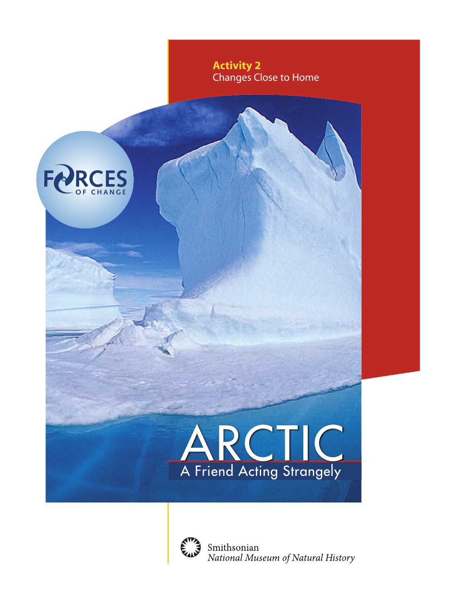

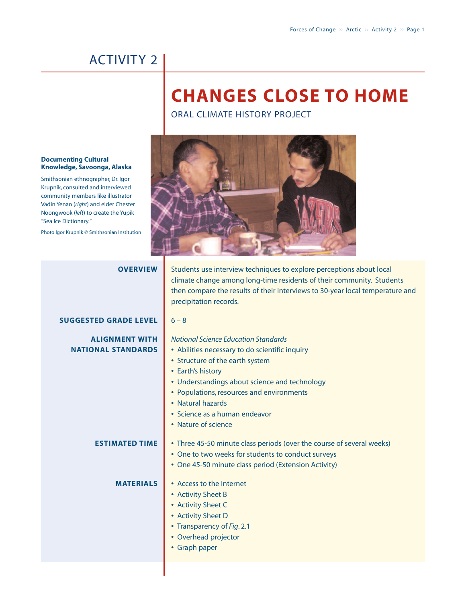## **CHANGES CLOSE TO HOME**

ORAL CLIMATE HISTORY PROJECT



| <b>OVERVIEW</b>                                    | Students use interview techniques to explore perceptions about local<br>climate change among long-time residents of their community. Students<br>then compare the results of their interviews to 30-year local temperature and<br>precipitation records.                                                                         |
|----------------------------------------------------|----------------------------------------------------------------------------------------------------------------------------------------------------------------------------------------------------------------------------------------------------------------------------------------------------------------------------------|
| <b>SUGGESTED GRADE LEVEL</b>                       | $6 - 8$                                                                                                                                                                                                                                                                                                                          |
| <b>ALIGNMENT WITH</b><br><b>NATIONAL STANDARDS</b> | <b>National Science Education Standards</b><br>• Abilities necessary to do scientific inquiry<br>• Structure of the earth system<br>• Earth's history<br>• Understandings about science and technology<br>• Populations, resources and environments<br>• Natural hazards<br>· Science as a human endeavor<br>• Nature of science |
| <b>ESTIMATED TIME</b>                              | • Three 45-50 minute class periods (over the course of several weeks)<br>• One to two weeks for students to conduct surveys<br>• One 45-50 minute class period (Extension Activity)                                                                                                                                              |
| <b>MATERIALS</b>                                   | • Access to the Internet<br>• Activity Sheet B<br>• Activity Sheet C<br>• Activity Sheet D<br>• Transparency of Fig. 2.1<br>• Overhead projector<br>• Graph paper                                                                                                                                                                |

### **Documenting Cultural Knowledge, Savoonga, Alaska**

Smithsonian ethnographer, Dr. Igor Krupnik, consulted and interviewed community members like illustrator Vadin Yenan (*right*) and elder Chester Noongwook (*left*) to create the Yupik "Sea Ice Dictionary."

Photo Igor Krupnik © Smithsonian Institution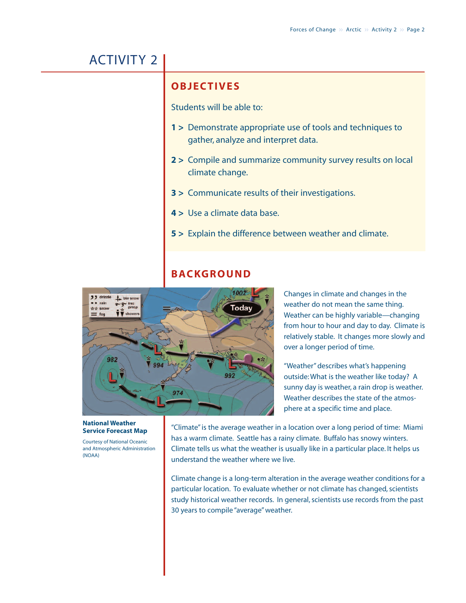### **OBJECTIVES**

Students will be able to:

- **1 >** Demonstrate appropriate use of tools and techniques to gather, analyze and interpret data.
- **2 >** Compile and summarize community survey results on local climate change.
- **3 >** Communicate results of their investigations.
- **4 >** Use a climate data base.
- **5 >** Explain the difference between weather and climate.

### **BACKGROUND**



(NOAA)

Changes in climate and changes in the weather do not mean the same thing. Weather can be highly variable—changing from hour to hour and day to day. Climate is relatively stable. It changes more slowly and over a longer period of time.

"Weather" describes what's happening outside: What is the weather like today? A sunny day is weather, a rain drop is weather. Weather describes the state of the atmosphere at a specific time and place.

"Climate" is the average weather in a location over a long period of time: Miami has a warm climate. Seattle has a rainy climate. Buffalo has snowy winters. Climate tells us what the weather is usually like in a particular place. It helps us understand the weather where we live. **Service Forecast Map** Courtesy of National Oceanic and Atmospheric Administration

> Climate change is a long-term alteration in the average weather conditions for a particular location. To evaluate whether or not climate has changed, scientists study historical weather records. In general, scientists use records from the past 30 years to compile "average" weather.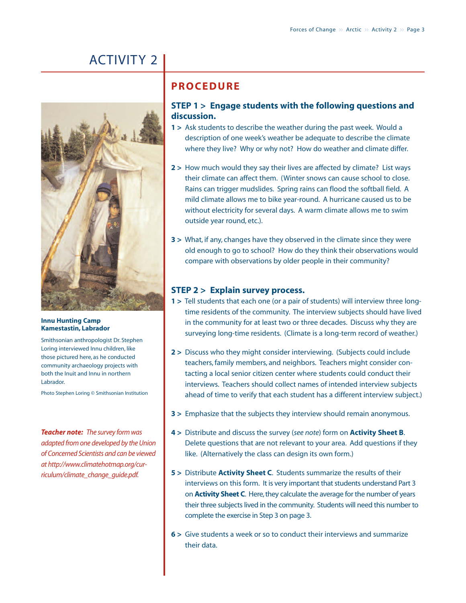

### **Innu Hunting Camp Kamestastin, Labrador**

Smithsonian anthropologist Dr. Stephen Loring interviewed Innu children, like those pictured here, as he conducted community archaeology projects with both the Inuit and Innu in northern Labrador.

Photo Stephen Loring © Smithsonian Institution

*Teacher note: The survey form was adapted from one developed by the Union of Concerned Scientists and can be viewed at http://www.climatehotmap.org/curriculum/climate\_change\_guide.pdf.*

### **PROCEDURE**

### **STEP 1 > Engage students with the following questions and discussion.**

- **1 >** Ask students to describe the weather during the past week. Would a description of one week's weather be adequate to describe the climate where they live? Why or why not? How do weather and climate differ.
- **2 >** How much would they say their lives are affected by climate? List ways their climate can affect them. (Winter snows can cause school to close. Rains can trigger mudslides. Spring rains can flood the softball field. A mild climate allows me to bike year-round. A hurricane caused us to be without electricity for several days. A warm climate allows me to swim outside year round, etc.).
- **3 >** What, if any, changes have they observed in the climate since they were old enough to go to school? How do they think their observations would compare with observations by older people in their community?

### **STEP 2 > Explain survey process.**

- **1 >** Tell students that each one (or a pair of students) will interview three longtime residents of the community. The interview subjects should have lived in the community for at least two or three decades. Discuss why they are surveying long-time residents. (Climate is a long-term record of weather.)
- **2 >** Discuss who they might consider interviewing. (Subjects could include teachers, family members, and neighbors. Teachers might consider contacting a local senior citizen center where students could conduct their interviews. Teachers should collect names of intended interview subjects ahead of time to verify that each student has a different interview subject.)
- **3 >** Emphasize that the subjects they interview should remain anonymous.
- **4 >** Distribute and discuss the survey (*see note*) form on **Activity Sheet B**. Delete questions that are not relevant to your area. Add questions if they like. (Alternatively the class can design its own form.)
- **5 >** Distribute **Activity Sheet C**. Students summarize the results of their interviews on this form. It is very important that students understand Part 3 on **Activity Sheet C**. Here, they calculate the average for the number of years their three subjects lived in the community. Students will need this number to complete the exercise in Step 3 on page 3.
- **6 >** Give students a week or so to conduct their interviews and summarize their data.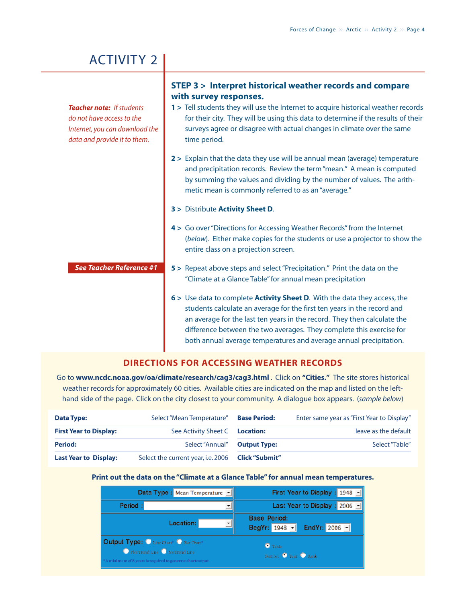**with survey responses. 1 >** Tell students they will use the Internet to acquire historical weather records for their city. They will be using this data to determine if the results of their surveys agree or disagree with actual changes in climate over the same time period. **2 >** Explain that the data they use will be annual mean (average) temperature and precipitation records. Review the term "mean." A mean is computed by summing the values and dividing by the number of values. The arithmetic mean is commonly referred to as an "average." **3 >** Distribute **Activity Sheet D**. **4 >** Go over "Directions for Accessing Weather Records" from the Internet (*below*). Either make copies for the students or use a projector to show the entire class on a projection screen. **5 >** Repeat above steps and select "Precipitation." Print the data on the "Climate at a Glance Table" for annual mean precipitation **6 >** Use data to complete **Activity Sheet D**. With the data they access, the students calculate an average for the first ten years in the record and an average for the last ten years in the record. They then calculate the difference between the two averages. They complete this exercise for both annual average temperatures and average annual precipitation. *See Teacher Reference #1 Teacher note: If students do not have access to the Internet, you can download the data and provide it to them.*

**STEP 3 > Interpret historical weather records and compare**

### **DIRECTIONS FOR ACCESSING WEATHER RECORDS**

Go to **www.ncdc.noaa.gov/oa/climate/research/cag3/cag3.html** . Click on **"Cities."** The site stores historical weather records for approximately 60 cities. Available cities are indicated on the map and listed on the lefthand side of the page. Click on the city closest to your community. A dialogue box appears. (*sample below*)

| <b>Data Type:</b>             | Select "Mean Temperature"                         | <b>Base Period:</b> | Enter same year as "First Year to Display" |
|-------------------------------|---------------------------------------------------|---------------------|--------------------------------------------|
| <b>First Year to Display:</b> | See Activity Sheet C Location:                    |                     | leave as the default                       |
| <b>Period:</b>                | Select "Annual" Output Type:                      |                     | Select "Table"                             |
| <b>Last Year to Display:</b>  | Select the current year, i.e. 2006 Click "Submit" |                     |                                            |

### **Print out the data on the "Climate at a Glance Table" for annual mean temperatures.**

| Data Type : Mean Temperature -                                                                                                       | First Year to Display : 1948 -                     |
|--------------------------------------------------------------------------------------------------------------------------------------|----------------------------------------------------|
| Period:                                                                                                                              | Last Year to Display : 2006 -                      |
| Location:                                                                                                                            | <b>Base Period:</b><br>BegYr: 1948 - EndYr: 2006 - |
| Output Type: Line Chart* C Bar Chart*<br>PlotTrend Line No Trend Line<br>"A minimum of 8 years is required to generate chart output. | Table<br>Sortby: <sup>O</sup> Year O Rank          |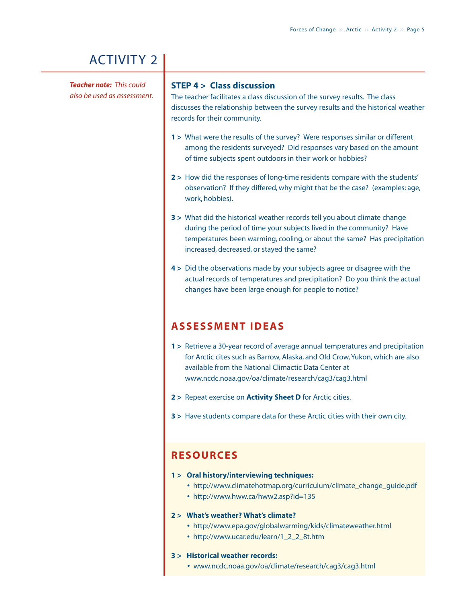*Teacher note: This could also be used as assessment.*

### **STEP 4 > Class discussion**

The teacher facilitates a class discussion of the survey results. The class discusses the relationship between the survey results and the historical weather records for their community.

- **1 >** What were the results of the survey? Were responses similar or different among the residents surveyed? Did responses vary based on the amount of time subjects spent outdoors in their work or hobbies?
- **2 >** How did the responses of long-time residents compare with the students' observation? If they differed, why might that be the case? (examples: age, work, hobbies).
- **3 >** What did the historical weather records tell you about climate change during the period of time your subjects lived in the community? Have temperatures been warming, cooling, or about the same? Has precipitation increased, decreased, or stayed the same?
- **4 >** Did the observations made by your subjects agree or disagree with the actual records of temperatures and precipitation? Do you think the actual changes have been large enough for people to notice?

### **ASSESSMENT IDEAS**

- **1 >** Retrieve a 30-year record of average annual temperatures and precipitation for Arctic cites such as Barrow, Alaska, and Old Crow, Yukon, which are also available from the National Climactic Data Center at www.ncdc.noaa.gov/oa/climate/research/cag3/cag3.html
- **2 >** Repeat exercise on **Activity Sheet D** for Arctic cities.
- **3 >** Have students compare data for these Arctic cities with their own city.

### **RESOURCES**

- **1 > Oral history/interviewing techniques:**
	- **•** http://www.climatehotmap.org/curriculum/climate\_change\_guide.pdf
	- **•** http://www.hww.ca/hww2.asp?id=135

### **2 > What's weather? What's climate?**

- **•** http://www.epa.gov/globalwarming/kids/climateweather.html
- **•** http://www.ucar.edu/learn/1\_2\_2\_8t.htm

### **3 > Historical weather records:**

**•** www.ncdc.noaa.gov/oa/climate/research/cag3/cag3.html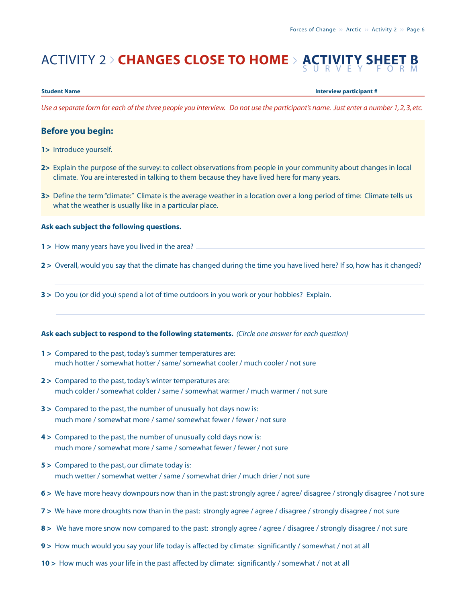# ACTIVITY 2 > **CHANGES CLOSE TO HOME** <sup>&</sup>gt; **ACTIVITY SHEET B** SURVEY FORM

**Student Name Interview participant #**

*Use a separate form for each of the three people you interview. Do not use the participant's name. Just enter a number 1, 2, 3, etc.*

### **Before you begin:**

- **1>** Introduce yourself.
- **2>** Explain the purpose of the survey: to collect observations from people in your community about changes in local climate. You are interested in talking to them because they have lived here for many years.
- **3>** Define the term "climate:" Climate is the average weather in a location over a long period of time: Climate tells us what the weather is usually like in a particular place.

### **Ask each subject the following questions.**

- **1 >** How many years have you lived in the area?
- **2 >** Overall, would you say that the climate has changed during the time you have lived here? If so, how has it changed?
- **3 >** Do you (or did you) spend a lot of time outdoors in you work or your hobbies? Explain.

### **Ask each subject to respond to the following statements.** *(Circle one answer for each question)*

- **1 >** Compared to the past, today's summer temperatures are: much hotter / somewhat hotter / same/ somewhat cooler / much cooler / not sure
- **2 >** Compared to the past, today's winter temperatures are: much colder / somewhat colder / same / somewhat warmer / much warmer / not sure
- **3 >** Compared to the past, the number of unusually hot days now is: much more / somewhat more / same/ somewhat fewer / fewer / not sure
- **4 >** Compared to the past, the number of unusually cold days now is: much more / somewhat more / same / somewhat fewer / fewer / not sure
- **5 >** Compared to the past, our climate today is: much wetter / somewhat wetter / same / somewhat drier / much drier / not sure
- **6 >** We have more heavy downpours now than in the past: strongly agree / agree/ disagree / strongly disagree / not sure
- **7 >** We have more droughts now than in the past: strongly agree / agree / disagree / strongly disagree / not sure
- **8 >** We have more snow now compared to the past: strongly agree / agree / disagree / strongly disagree / not sure
- **9 >** How much would you say your life today is affected by climate: significantly / somewhat / not at all
- 10 > How much was your life in the past affected by climate: significantly / somewhat / not at all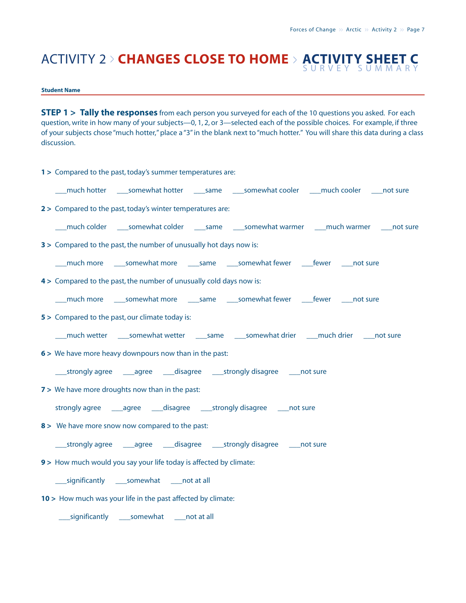### ACTIVITY 2 > **CHANGES CLOSE TO HOME** <sup>&</sup>gt; **ACTIVITY SHEET C** SURVEY SUMMARY

### **Student Name**

**STEP 1 > Tally the responses** from each person you surveyed for each of the 10 questions you asked. For each question, write in how many of your subjects—0, 1, 2, or 3—selected each of the possible choices. For example, if three of your subjects chose "much hotter," place a "3" in the blank next to "much hotter." You will share this data during a class discussion.

| 1 > Compared to the past, today's summer temperatures are:                                             |
|--------------------------------------------------------------------------------------------------------|
| ___much hotter _____somewhat hotter _____same _____somewhat cooler ____much cooler ____not sure        |
| 2 > Compared to the past, today's winter temperatures are:                                             |
| ___ much colder _____ somewhat colder ______ same _____ somewhat warmer _____much warmer _____not sure |
| 3 > Compared to the past, the number of unusually hot days now is:                                     |
| ___much more _____somewhat more ______same _____somewhat fewer _____fewer _____not sure                |
| 4> Compared to the past, the number of unusually cold days now is:                                     |
|                                                                                                        |
| 5 > Compared to the past, our climate today is:                                                        |
| ___much wetter _____somewhat wetter ______same _____somewhat drier ____much drier _____not sure        |
| 6 > We have more heavy downpours now than in the past:                                                 |
|                                                                                                        |
| 7 > We have more droughts now than in the past:                                                        |
|                                                                                                        |
| 8 > We have more snow now compared to the past:                                                        |
|                                                                                                        |
| 9 > How much would you say your life today is affected by climate:                                     |
| ____ significantly _____ somewhat _____ not at all                                                     |
| 10 > How much was your life in the past affected by climate:                                           |
| ____ significantly _____ somewhat _____ not at all                                                     |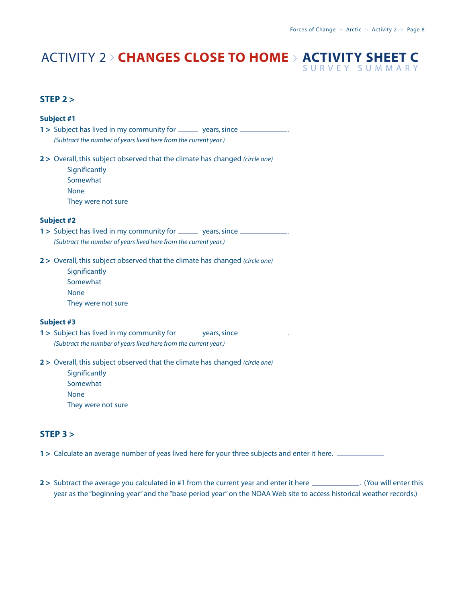### ACTIVITY 2 > **CHANGES CLOSE TO HOME** <sup>&</sup>gt; **ACTIVITY SHEET C** SURVEY SUMMARY

**STEP 2 >**

| Subject #1                                                                                                                                     |
|------------------------------------------------------------------------------------------------------------------------------------------------|
| 1 > Subject has lived in my community for _______ years, since ______________.                                                                 |
| (Subtract the number of years lived here from the current year.)                                                                               |
| 2 > Overall, this subject observed that the climate has changed (circle one)<br>Significantly<br>Somewhat<br><b>None</b><br>They were not sure |
| <b>Subject #2</b>                                                                                                                              |
| 1 > Subject has lived in my community for _______ years, since ______________.                                                                 |
| (Subtract the number of years lived here from the current year.)                                                                               |
| 2 > Overall, this subject observed that the climate has changed (circle one)<br>Significantly<br>Somewhat<br><b>None</b><br>They were not sure |
| <b>Subject #3</b>                                                                                                                              |
| 1 > Subject has lived in my community for _______ years, since ______________.                                                                 |
| (Subtract the number of years lived here from the current year.)                                                                               |
| 2 > Overall, this subject observed that the climate has changed (circle one)<br>Significantly<br>Somewhat<br><b>None</b>                       |

They were not sure

### **STEP 3 >**

**1 >** Calculate an average number of yeas lived here for your three subjects and enter it here.

**2**  $>$  Subtract the average you calculated in #1 from the current year and enter it here  $\frac{1}{1}$ . (You will enter this year as the "beginning year" and the "base period year" on the NOAA Web site to access historical weather records.)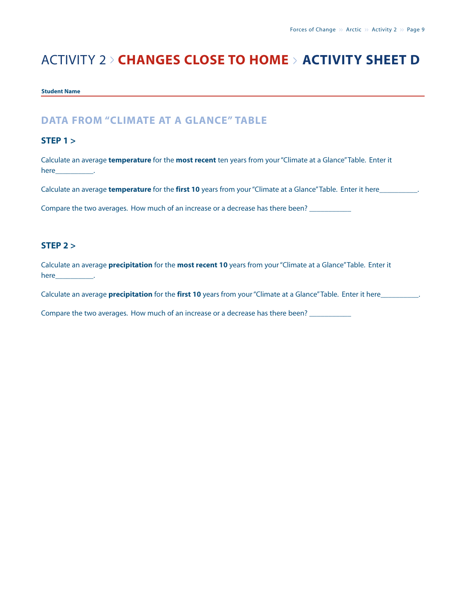## ACTIVITY 2 > **CHANGES CLOSE TO HOME** <sup>&</sup>gt; **ACTIVITY SHEET D**

### **Student Name**

### **DATA FROM "CLIMATE AT A GLANCE" TABLE**

### **STEP 1 >**

Calculate an average **temperature** for the **most recent** ten years from your "Climate at a Glance"Table. Enter it here\_\_\_\_\_\_\_\_\_\_.

Calculate an average **temperature** for the **first 10** years from your "Climate at a Glance"Table. Enter it here\_\_\_\_\_\_\_\_\_\_.

Compare the two averages. How much of an increase or a decrease has there been? \_\_\_\_\_\_\_\_\_\_\_\_\_\_\_\_\_\_\_\_\_\_\_\_\_\_\_\_\_\_

### **STEP 2 >**

Calculate an average **precipitation** for the **most recent 10** years from your "Climate at a Glance"Table. Enter it here\_\_\_\_\_\_\_\_\_\_\_\_\_\_.

Calculate an average **precipitation** for the **first 10** years from your "Climate at a Glance"Table. Enter it here\_\_\_\_\_\_\_\_\_\_.

Compare the two averages. How much of an increase or a decrease has there been? \_\_\_\_\_\_\_\_\_\_\_\_\_\_\_\_\_\_\_\_\_\_\_\_\_\_\_\_\_\_